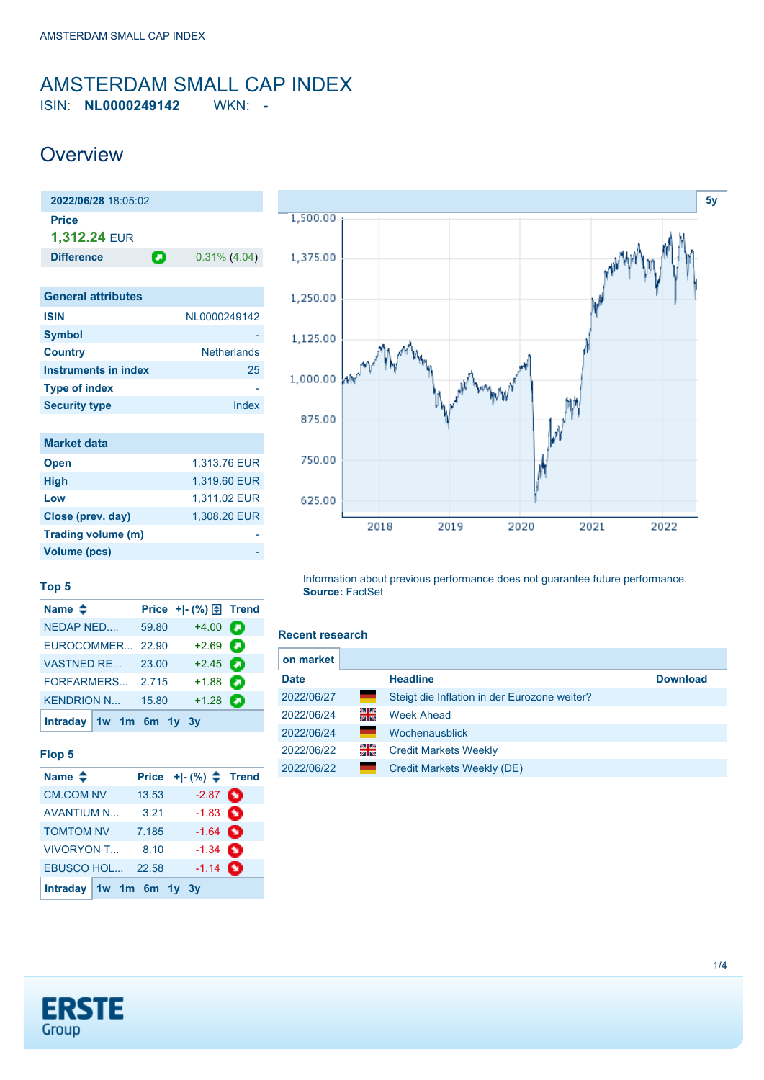## <span id="page-0-0"></span>AMSTERDAM SMALL CAP INDEX ISIN: **NL0000249142** WKN: **-**

**Overview** 

| 2022/06/28 18:05:02       |   |                    |
|---------------------------|---|--------------------|
| Price<br>1,312.24 EUR     |   |                    |
| <b>Difference</b>         | П | $0.31\%$ (4.04)    |
|                           |   |                    |
| <b>General attributes</b> |   |                    |
| <b>ISIN</b>               |   | NL0000249142       |
| <b>Symbol</b>             |   |                    |
| <b>Country</b>            |   | <b>Netherlands</b> |
| Instruments in index      |   | 25                 |
| <b>Type of index</b>      |   |                    |
| <b>Security type</b>      |   | Index              |
|                           |   |                    |

| <b>Market data</b> |              |
|--------------------|--------------|
| <b>Open</b>        | 1.313.76 EUR |
| <b>High</b>        | 1,319.60 EUR |
| Low                | 1,311.02 EUR |
| Close (prev. day)  | 1.308.20 EUR |
| Trading volume (m) |              |
| Volume (pcs)       |              |



#### **Top 5**

| Name $\triangleq$       |       |                   |   |
|-------------------------|-------|-------------------|---|
| <b>NEDAP NED</b>        | 59.80 | $+4.00$           | О |
| EUROCOMMER 22.90        |       | $+2.69$ $\Box$    |   |
| <b>VASTNED RE</b>       | 23.00 | $+2.45$ $\bullet$ |   |
| FORFARMERS              | 2.715 | $+1.88$ $\Box$    |   |
| <b>KENDRION N</b>       | 15.80 | $+1.28$ $\bullet$ |   |
| Intraday 1w 1m 6m 1y 3y |       |                   |   |

#### **Flop 5**

| Name $\triangle$       | <b>Price</b> | $+ -$ (%) $\Leftarrow$ Trend |  |
|------------------------|--------------|------------------------------|--|
| <b>CM.COM NV</b>       | 13.53        | $-2.87$ $\bullet$            |  |
| <b>AVANTIUM N</b>      | 3.21         | $-1.83$ $\bullet$            |  |
| <b>TOMTOM NV</b>       | 7.185        | $-1.64$ $\bullet$            |  |
| <b>VIVORYON T</b>      | 8.10         | $-1.34$ $\bullet$            |  |
| <b>EBUSCO HOL</b>      | 22.58        | $-1.14$ $\bullet$            |  |
| Intraday $1w$ 1m 6m 1y |              | 3v                           |  |

#### Information about previous performance does not guarantee future performance. **Source:** FactSet

#### **Recent research**

| on market   |    |                                              |                 |
|-------------|----|----------------------------------------------|-----------------|
| <b>Date</b> |    | <b>Headline</b>                              | <b>Download</b> |
| 2022/06/27  | =  | Steigt die Inflation in der Eurozone weiter? |                 |
| 2022/06/24  | 읡  | <b>Week Ahead</b>                            |                 |
| 2022/06/24  |    | Wochenausblick                               |                 |
| 2022/06/22  | 꾉뚢 | <b>Credit Markets Weekly</b>                 |                 |
| 2022/06/22  |    | Credit Markets Weekly (DE)                   |                 |

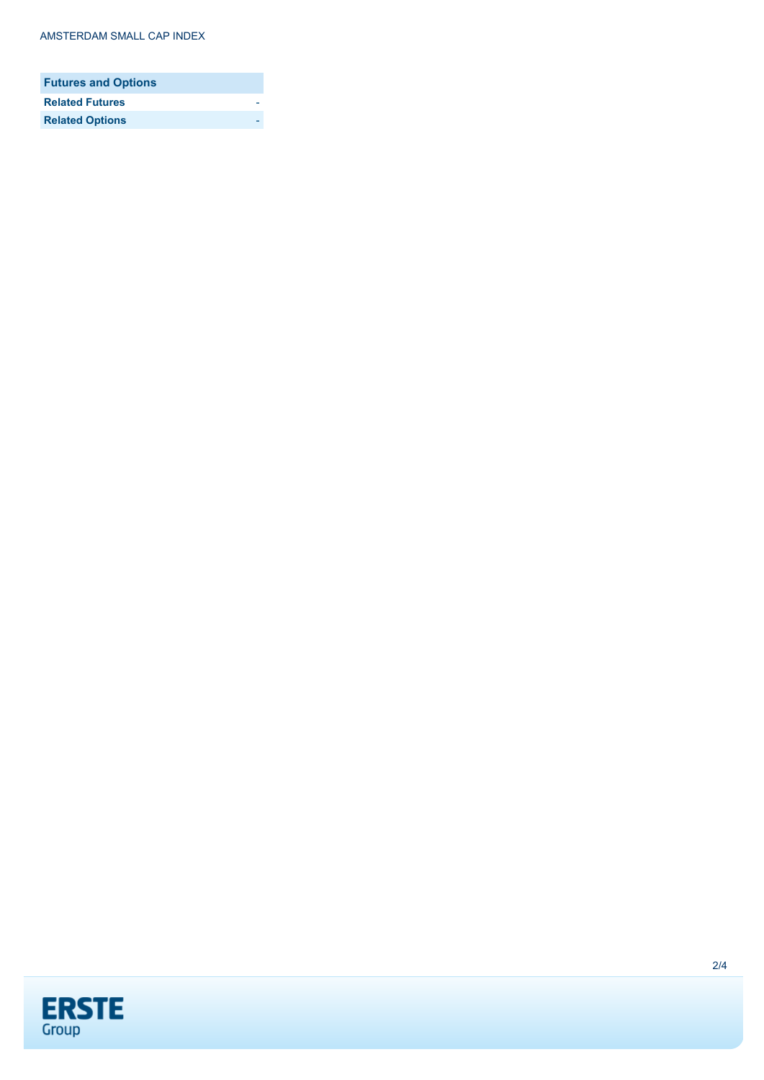| <b>Futures and Options</b> |  |
|----------------------------|--|
| <b>Related Futures</b>     |  |
| <b>Related Options</b>     |  |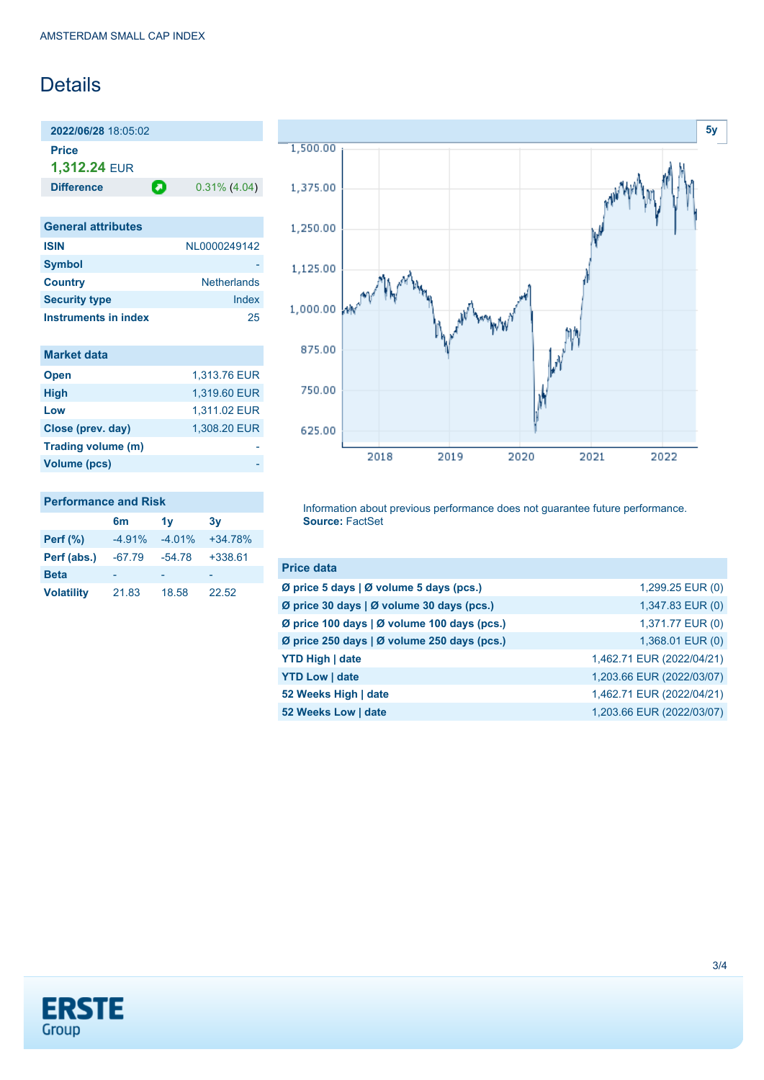# **Details**

**2022/06/28** 18:05:02 **Price 1,312.24** EUR

**Difference 0.31% (4.04)** 

| <b>General attributes</b>   |                    |
|-----------------------------|--------------------|
| <b>ISIN</b>                 | NI 0000249142      |
| <b>Symbol</b>               |                    |
| <b>Country</b>              | <b>Netherlands</b> |
| <b>Security type</b>        | Index              |
| <b>Instruments in index</b> | 25                 |

| <b>Market data</b> |              |
|--------------------|--------------|
| <b>Open</b>        | 1,313.76 EUR |
| <b>High</b>        | 1,319.60 EUR |
| Low                | 1,311.02 EUR |
| Close (prev. day)  | 1.308.20 EUR |
| Trading volume (m) |              |
| Volume (pcs)       |              |

### **Performance and Risk**

|                   | 6m       | 1v       | 3v        |
|-------------------|----------|----------|-----------|
| Perf $(\%)$       | $-4.91%$ | $-4.01%$ | $+34.78%$ |
| Perf (abs.)       | $-67.79$ | $-54.78$ | $+338.61$ |
| <b>Beta</b>       |          |          |           |
| <b>Volatility</b> | 21.83    | 18.58    | 22.52     |



Information about previous performance does not guarantee future performance. **Source:** FactSet

| <b>Price data</b>                           |                           |
|---------------------------------------------|---------------------------|
| Ø price 5 days   Ø volume 5 days (pcs.)     | 1,299.25 EUR (0)          |
| Ø price 30 days   Ø volume 30 days (pcs.)   | 1,347.83 EUR (0)          |
| Ø price 100 days   Ø volume 100 days (pcs.) | 1,371.77 EUR (0)          |
| Ø price 250 days   Ø volume 250 days (pcs.) | 1,368.01 EUR (0)          |
| <b>YTD High   date</b>                      | 1,462.71 EUR (2022/04/21) |
| <b>YTD Low   date</b>                       | 1,203.66 EUR (2022/03/07) |
| 52 Weeks High   date                        | 1,462.71 EUR (2022/04/21) |
| 52 Weeks Low   date                         | 1,203.66 EUR (2022/03/07) |